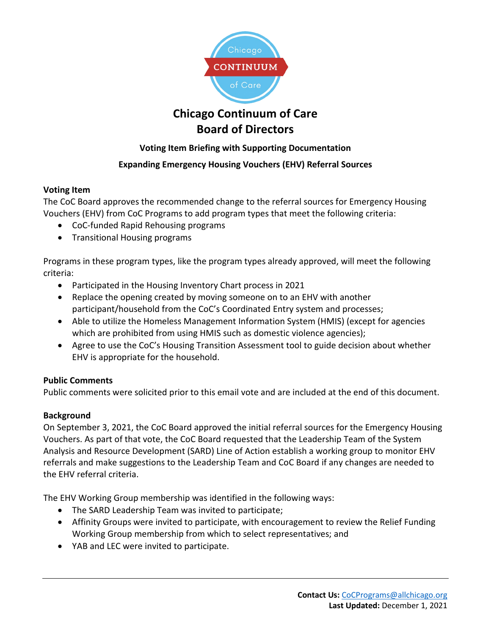

# **Chicago Continuum of Care Board of Directors**

# **Voting Item Briefing with Supporting Documentation**

# **Expanding Emergency Housing Vouchers (EHV) Referral Sources**

## **Voting Item**

The CoC Board approves the recommended change to the referral sources for Emergency Housing Vouchers (EHV) from CoC Programs to add program types that meet the following criteria:

- CoC-funded Rapid Rehousing programs
- Transitional Housing programs

Programs in these program types, like the program types already approved, will meet the following criteria:

- Participated in the Housing Inventory Chart process in 2021
- Replace the opening created by moving someone on to an EHV with another participant/household from the CoC's Coordinated Entry system and processes;
- Able to utilize the Homeless Management Information System (HMIS) (except for agencies which are prohibited from using HMIS such as domestic violence agencies);
- Agree to use the CoC's Housing Transition Assessment tool to guide decision about whether EHV is appropriate for the household.

## **Public Comments**

Public comments were solicited prior to this email vote and are included at the end of this document.

## **Background**

On September 3, 2021, the CoC Board approved the initial referral sources for the Emergency Housing Vouchers. As part of that vote, the CoC Board requested that the Leadership Team of the System Analysis and Resource Development (SARD) Line of Action establish a working group to monitor EHV referrals and make suggestions to the Leadership Team and CoC Board if any changes are needed to the EHV referral criteria.

The EHV Working Group membership was identified in the following ways:

- The SARD Leadership Team was invited to participate;
- Affinity Groups were invited to participate, with encouragement to review the Relief Funding Working Group membership from which to select representatives; and
- YAB and LEC were invited to participate.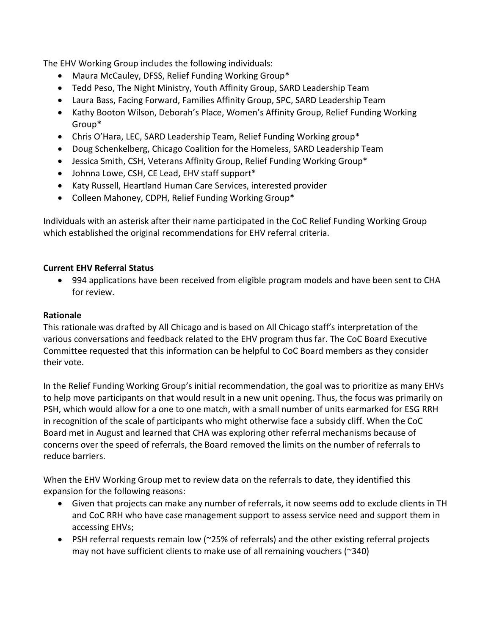The EHV Working Group includes the following individuals:

- Maura McCauley, DFSS, Relief Funding Working Group\*
- Tedd Peso, The Night Ministry, Youth Affinity Group, SARD Leadership Team
- Laura Bass, Facing Forward, Families Affinity Group, SPC, SARD Leadership Team
- Kathy Booton Wilson, Deborah's Place, Women's Affinity Group, Relief Funding Working Group\*
- Chris O'Hara, LEC, SARD Leadership Team, Relief Funding Working group\*
- Doug Schenkelberg, Chicago Coalition for the Homeless, SARD Leadership Team
- Jessica Smith, CSH, Veterans Affinity Group, Relief Funding Working Group\*
- Johnna Lowe, CSH, CE Lead, EHV staff support\*
- Katy Russell, Heartland Human Care Services, interested provider
- Colleen Mahoney, CDPH, Relief Funding Working Group\*

Individuals with an asterisk after their name participated in the CoC Relief Funding Working Group which established the original recommendations for EHV referral criteria.

### **Current EHV Referral Status**

• 994 applications have been received from eligible program models and have been sent to CHA for review.

#### **Rationale**

This rationale was drafted by All Chicago and is based on All Chicago staff's interpretation of the various conversations and feedback related to the EHV program thus far. The CoC Board Executive Committee requested that this information can be helpful to CoC Board members as they consider their vote.

In the Relief Funding Working Group's initial recommendation, the goal was to prioritize as many EHVs to help move participants on that would result in a new unit opening. Thus, the focus was primarily on PSH, which would allow for a one to one match, with a small number of units earmarked for ESG RRH in recognition of the scale of participants who might otherwise face a subsidy cliff. When the CoC Board met in August and learned that CHA was exploring other referral mechanisms because of concerns over the speed of referrals, the Board removed the limits on the number of referrals to reduce barriers.

When the EHV Working Group met to review data on the referrals to date, they identified this expansion for the following reasons:

- Given that projects can make any number of referrals, it now seems odd to exclude clients in TH and CoC RRH who have case management support to assess service need and support them in accessing EHVs;
- PSH referral requests remain low (~25% of referrals) and the other existing referral projects may not have sufficient clients to make use of all remaining vouchers (~340)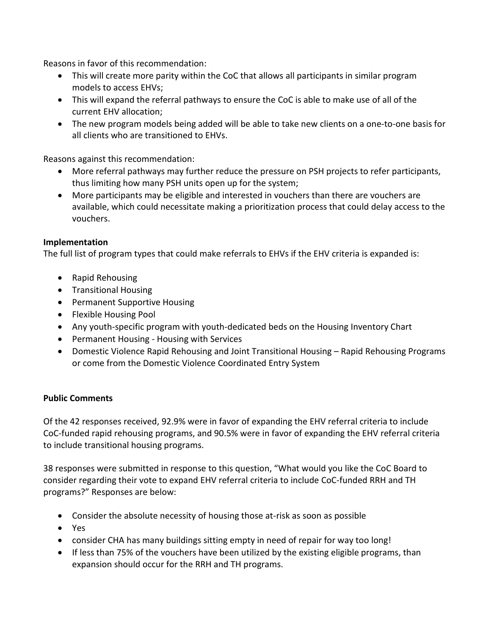Reasons in favor of this recommendation:

- This will create more parity within the CoC that allows all participants in similar program models to access EHVs;
- This will expand the referral pathways to ensure the CoC is able to make use of all of the current EHV allocation;
- The new program models being added will be able to take new clients on a one-to-one basis for all clients who are transitioned to EHVs.

Reasons against this recommendation:

- More referral pathways may further reduce the pressure on PSH projects to refer participants, thus limiting how many PSH units open up for the system;
- More participants may be eligible and interested in vouchers than there are vouchers are available, which could necessitate making a prioritization process that could delay access to the vouchers.

#### **Implementation**

The full list of program types that could make referrals to EHVs if the EHV criteria is expanded is:

- Rapid Rehousing
- Transitional Housing
- Permanent Supportive Housing
- Flexible Housing Pool
- Any youth-specific program with youth-dedicated beds on the Housing Inventory Chart
- Permanent Housing Housing with Services
- Domestic Violence Rapid Rehousing and Joint Transitional Housing Rapid Rehousing Programs or come from the Domestic Violence Coordinated Entry System

### **Public Comments**

Of the 42 responses received, 92.9% were in favor of expanding the EHV referral criteria to include CoC-funded rapid rehousing programs, and 90.5% were in favor of expanding the EHV referral criteria to include transitional housing programs.

38 responses were submitted in response to this question, "What would you like the CoC Board to consider regarding their vote to expand EHV referral criteria to include CoC-funded RRH and TH programs?" Responses are below:

- Consider the absolute necessity of housing those at-risk as soon as possible
- Yes
- consider CHA has many buildings sitting empty in need of repair for way too long!
- If less than 75% of the vouchers have been utilized by the existing eligible programs, than expansion should occur for the RRH and TH programs.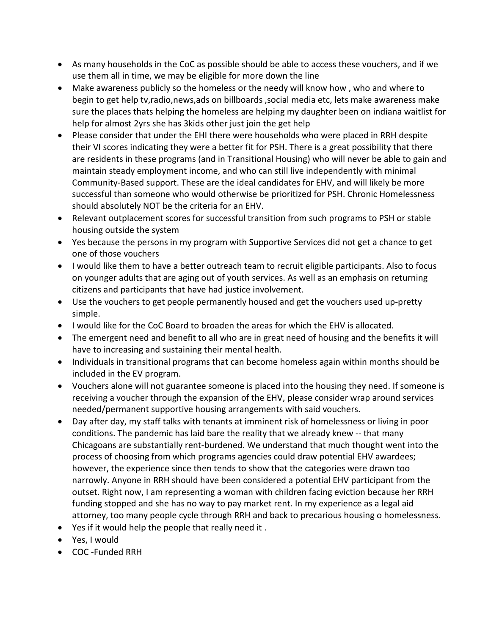- As many households in the CoC as possible should be able to access these vouchers, and if we use them all in time, we may be eligible for more down the line
- Make awareness publicly so the homeless or the needy will know how , who and where to begin to get help tv,radio,news,ads on billboards ,social media etc, lets make awareness make sure the places thats helping the homeless are helping my daughter been on indiana waitlist for help for almost 2yrs she has 3kids other just join the get help
- Please consider that under the EHI there were households who were placed in RRH despite their VI scores indicating they were a better fit for PSH. There is a great possibility that there are residents in these programs (and in Transitional Housing) who will never be able to gain and maintain steady employment income, and who can still live independently with minimal Community-Based support. These are the ideal candidates for EHV, and will likely be more successful than someone who would otherwise be prioritized for PSH. Chronic Homelessness should absolutely NOT be the criteria for an EHV.
- Relevant outplacement scores for successful transition from such programs to PSH or stable housing outside the system
- Yes because the persons in my program with Supportive Services did not get a chance to get one of those vouchers
- I would like them to have a better outreach team to recruit eligible participants. Also to focus on younger adults that are aging out of youth services. As well as an emphasis on returning citizens and participants that have had justice involvement.
- Use the vouchers to get people permanently housed and get the vouchers used up-pretty simple.
- I would like for the CoC Board to broaden the areas for which the EHV is allocated.
- The emergent need and benefit to all who are in great need of housing and the benefits it will have to increasing and sustaining their mental health.
- Individuals in transitional programs that can become homeless again within months should be included in the EV program.
- Vouchers alone will not guarantee someone is placed into the housing they need. If someone is receiving a voucher through the expansion of the EHV, please consider wrap around services needed/permanent supportive housing arrangements with said vouchers.
- Day after day, my staff talks with tenants at imminent risk of homelessness or living in poor conditions. The pandemic has laid bare the reality that we already knew -- that many Chicagoans are substantially rent-burdened. We understand that much thought went into the process of choosing from which programs agencies could draw potential EHV awardees; however, the experience since then tends to show that the categories were drawn too narrowly. Anyone in RRH should have been considered a potential EHV participant from the outset. Right now, I am representing a woman with children facing eviction because her RRH funding stopped and she has no way to pay market rent. In my experience as a legal aid attorney, too many people cycle through RRH and back to precarious housing o homelessness.
- Yes if it would help the people that really need it .
- Yes, I would
- COC -Funded RRH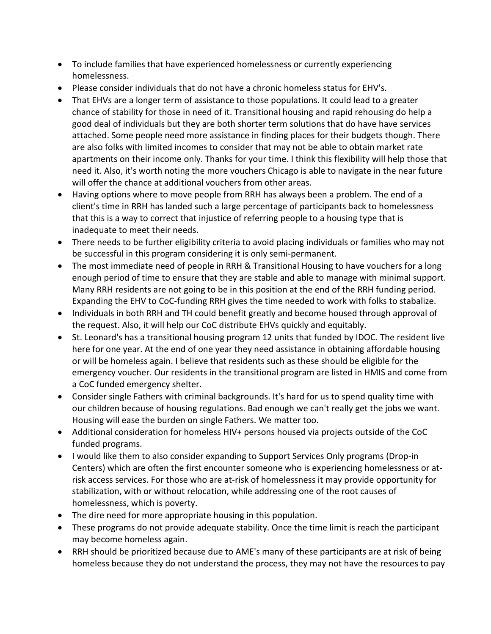- To include families that have experienced homelessness or currently experiencing homelessness.
- Please consider individuals that do not have a chronic homeless status for EHV's.
- That EHVs are a longer term of assistance to those populations. It could lead to a greater chance of stability for those in need of it. Transitional housing and rapid rehousing do help a good deal of individuals but they are both shorter term solutions that do have have services attached. Some people need more assistance in finding places for their budgets though. There are also folks with limited incomes to consider that may not be able to obtain market rate apartments on their income only. Thanks for your time. I think this flexibility will help those that need it. Also, it's worth noting the more vouchers Chicago is able to navigate in the near future will offer the chance at additional vouchers from other areas.
- Having options where to move people from RRH has always been a problem. The end of a client's time in RRH has landed such a large percentage of participants back to homelessness that this is a way to correct that injustice of referring people to a housing type that is inadequate to meet their needs.
- There needs to be further eligibility criteria to avoid placing individuals or families who may not be successful in this program considering it is only semi-permanent.
- The most immediate need of people in RRH & Transitional Housing to have vouchers for a long enough period of time to ensure that they are stable and able to manage with minimal support. Many RRH residents are not going to be in this position at the end of the RRH funding period. Expanding the EHV to CoC-funding RRH gives the time needed to work with folks to stabalize.
- Individuals in both RRH and TH could benefit greatly and become housed through approval of the request. Also, it will help our CoC distribute EHVs quickly and equitably.
- St. Leonard's has a transitional housing program 12 units that funded by IDOC. The resident live here for one year. At the end of one year they need assistance in obtaining affordable housing or will be homeless again. I believe that residents such as these should be eligible for the emergency voucher. Our residents in the transitional program are listed in HMIS and come from a CoC funded emergency shelter.
- Consider single Fathers with criminal backgrounds. It's hard for us to spend quality time with our children because of housing regulations. Bad enough we can't really get the jobs we want. Housing will ease the burden on single Fathers. We matter too.
- Additional consideration for homeless HIV+ persons housed via projects outside of the CoC funded programs.
- I would like them to also consider expanding to Support Services Only programs (Drop-in Centers) which are often the first encounter someone who is experiencing homelessness or atrisk access services. For those who are at-risk of homelessness it may provide opportunity for stabilization, with or without relocation, while addressing one of the root causes of homelessness, which is poverty.
- The dire need for more appropriate housing in this population.
- These programs do not provide adequate stability. Once the time limit is reach the participant may become homeless again.
- RRH should be prioritized because due to AME's many of these participants are at risk of being homeless because they do not understand the process, they may not have the resources to pay